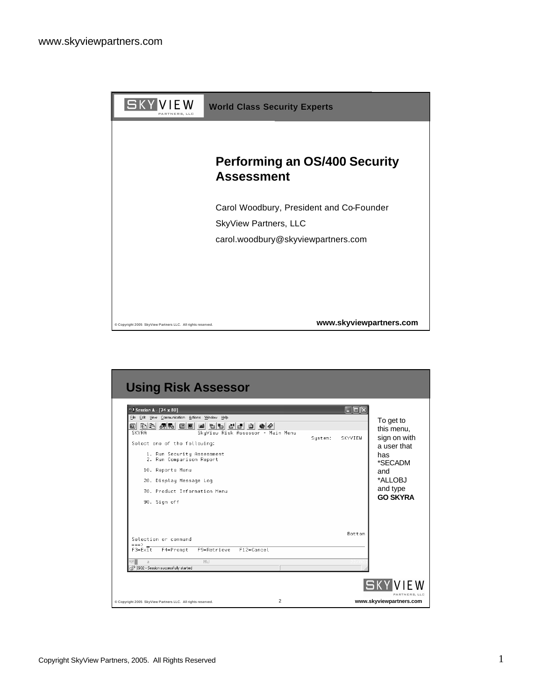

| $\approx$ Session A - [24 x 80]                        |         | <b>NOR</b> |                 |
|--------------------------------------------------------|---------|------------|-----------------|
| File Edit View Communication Actions Window Help       |         |            | To get to       |
| 0 đá 25 de 10 de 10 de 10 de 10                        |         |            | this menu,      |
| SKYRA<br>SkyView Risk Assessor - Main Menu             | System: | SKYVIEW    | sign on with    |
| Select one of the following:                           |         |            | a user that     |
| 1. Run Security Assessment<br>2. Run Comparison Report |         |            | has<br>*SECADM  |
| 10. Reports Menu                                       |         |            | and             |
| 20. Display Message Log                                |         |            | *ALLOBJ         |
| 70. Product Information Menu                           |         |            | and type        |
| 90. Sign off                                           |         |            | <b>GO SKYRA</b> |
|                                                        |         |            |                 |
|                                                        |         |            |                 |
|                                                        |         | Bottom     |                 |
| Selection or command<br>$==$                           |         |            |                 |
| F12=Cancel<br>$F3 = Ex1t$<br>F4=Prompt<br>F9=Retrieve  |         |            |                 |
| Mill<br>MA .<br>$\overline{a}$                         |         |            |                 |
| nf <sup>1</sup> I902 - Session successfully started    |         |            |                 |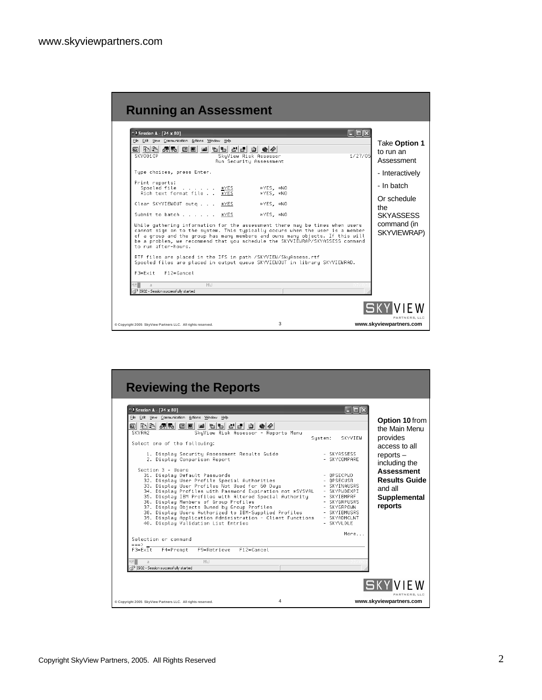| <b>Running an Assessment</b>                                                                                                                                                                                                                                                                                                                                                                                                                                                                                                                                                                                                                                                                                                                                                                                                                       |                                                                                    |
|----------------------------------------------------------------------------------------------------------------------------------------------------------------------------------------------------------------------------------------------------------------------------------------------------------------------------------------------------------------------------------------------------------------------------------------------------------------------------------------------------------------------------------------------------------------------------------------------------------------------------------------------------------------------------------------------------------------------------------------------------------------------------------------------------------------------------------------------------|------------------------------------------------------------------------------------|
| <sup>13</sup> Session A - [24 x 80]<br>$\ .\ $ d $\ $ x<br>File Edit View Communication Actions Window Help<br>8 BB 4 5 5 6<br>ख्बी<br>1/27/05<br>SKY001CP<br>SkyView Risk Assessor<br>Run Securitu Assessment<br>Tupe choices, press Enter.                                                                                                                                                                                                                                                                                                                                                                                                                                                                                                                                                                                                       | Take Option 1<br>to run an<br>Assessment<br>- Interactively                        |
| Print reports:<br>Spooled file<br>*YES, *NO<br>*YES<br>Rich text format file<br>$\overline{\mathbf{x}}$ YES<br>*YES *NO<br>*YES *NO<br>Clear SKYVIEWOUT outg<br>*YES<br>Submit to batch *YES<br>*YES. *NO<br>While gathering information for the assessment there may be times when users<br>cannot sign on to the system. This typically occurs when the user is a member<br>of a group and the group has many members and owns many objects. If this will<br>be a problem, we recommend that you schedule the SKYVIEWRAP/SKYASSESS command<br>to run after-hours.<br>RTF files are placed in the IFS in path /SKYVIEW/SkyAssess.rtf<br>Spooled files are placed in output queue SKYVIEWOUT in library SKYVIEWRAD.<br>$F12=Cancel$<br>$F3 = F \times i +$<br>MA.<br>Mill<br>$\overline{a}$<br>nf <sup>1</sup> I902 - Session successfully started | - In batch<br>Or schedule<br>the<br><b>SKYASSESS</b><br>command (in<br>SKYVIEWRAP) |
| 3<br>Copyright 2005 SkyView Partners LLC. All rights reserved.                                                                                                                                                                                                                                                                                                                                                                                                                                                                                                                                                                                                                                                                                                                                                                                     | PARTNERS, LLC<br>www.skyviewpartners.com                                           |

| $8$ Session A - [24 x 80]                        |                                                    |                                                                              |                |                                                                                                                      |         |              | licild                       |                      |
|--------------------------------------------------|----------------------------------------------------|------------------------------------------------------------------------------|----------------|----------------------------------------------------------------------------------------------------------------------|---------|--------------|------------------------------|----------------------|
| File Edit View Communication Actions Window Help |                                                    |                                                                              |                |                                                                                                                      |         |              |                              | Option 10 from       |
| 0 đá 45 EE 6 b 5 5 6 6 6                         |                                                    |                                                                              |                |                                                                                                                      |         |              |                              | the Main Menu        |
| SKYRA2                                           |                                                    |                                                                              |                | SkyView Risk Assessor - Reports Menu                                                                                 |         |              | <b>SKYVTEM</b>               | provides             |
| Select one of the following:                     |                                                    |                                                                              |                |                                                                                                                      | Sustem: |              |                              | access to all        |
|                                                  |                                                    |                                                                              |                |                                                                                                                      |         |              | - SKYASSESS                  |                      |
|                                                  |                                                    | 1. Display Security Assessment Results Guide<br>2. Display Comparison Report |                |                                                                                                                      |         |              | - SKYCOMPARF                 | $reports -$          |
| Section 3 - Haers                                |                                                    |                                                                              |                |                                                                                                                      |         |              |                              | including the        |
|                                                  |                                                    | 31. Display Default Passwords                                                |                |                                                                                                                      |         | - OPSECPWD   |                              | <b>Assessment</b>    |
|                                                  |                                                    | 32. Display User Profile Special Authorities                                 |                |                                                                                                                      |         | - OPSECUSR   |                              | <b>Results Guide</b> |
|                                                  |                                                    | 33. Display User Profiles Not Used for 60 Days                               |                |                                                                                                                      |         |              | - SKYINAUSRS<br>- SKYPHDEXPT | and all              |
|                                                  |                                                    |                                                                              |                | 34. Display Profiles with Password Expiration not *SYSVAL<br>35. Display IBM Profiles with Altered Special Authority |         |              | - SKYTBMPRF                  | Supplemental         |
|                                                  |                                                    | 36. Display Members of Group Profiles                                        |                |                                                                                                                      |         |              | - SKYGRPUSRS                 |                      |
|                                                  |                                                    | 37. Display Objects Owned by Group Profiles                                  |                |                                                                                                                      |         |              | - SKYGRPOWN                  | reports              |
|                                                  |                                                    |                                                                              |                | 38. Display Users Authorized to IBM-Supplied Profiles<br>39. Display Application Administration - Client Functions   |         |              | - SKYIBMUSRS<br>- SKYADMCLNT |                      |
|                                                  |                                                    | 40. Display Validation List Entries                                          |                |                                                                                                                      |         | - SKYVI DI F |                              |                      |
|                                                  |                                                    |                                                                              |                |                                                                                                                      |         |              | More                         |                      |
| Selection or command                             |                                                    |                                                                              |                |                                                                                                                      |         |              |                              |                      |
| $==$<br>$F3 = E \times i t$                      | F4=Prompt                                          | F9=Retrieve                                                                  | $F12 = Cancel$ |                                                                                                                      |         |              |                              |                      |
|                                                  |                                                    |                                                                              |                |                                                                                                                      |         |              |                              |                      |
| мAГ<br>$\overline{a}$                            |                                                    | Mill                                                                         |                |                                                                                                                      |         |              |                              |                      |
|                                                  | n <sup>0</sup> I902 - Session successfully started |                                                                              |                |                                                                                                                      |         |              |                              |                      |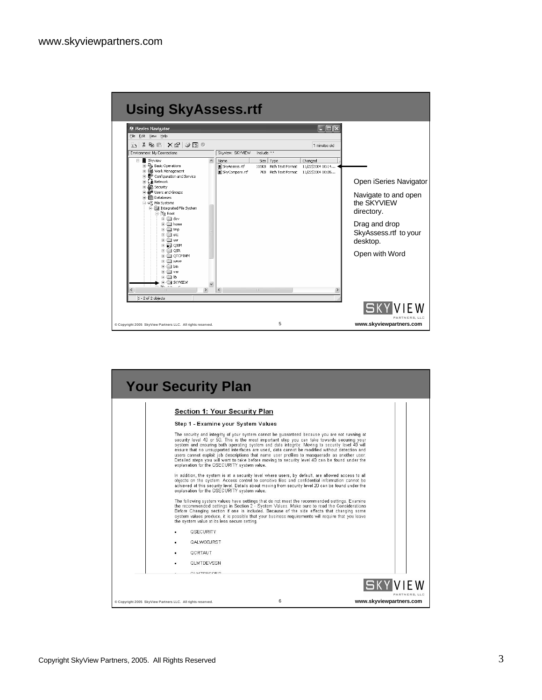| <b>C</b> iSeries Navigator<br>Edit View Help                                                                             |                                                  |                                                               | $\ .\ $ o $\ $ x                                |                                                    |
|--------------------------------------------------------------------------------------------------------------------------|--------------------------------------------------|---------------------------------------------------------------|-------------------------------------------------|----------------------------------------------------|
| File<br>↓ 电 B   X @   ◆ E ●<br>Ï٦                                                                                        |                                                  |                                                               | 1 minutes old                                   |                                                    |
| Environment: My Connections                                                                                              | Skyview: SKYVIEW                                 | Include: *.*                                                  |                                                 |                                                    |
| <b>图</b> Skyview<br>Ė<br>Basic Operations<br>F B Work Management                                                         | <b>Name</b><br>SkyAssess.rtf<br>B SkyCompare.rtf | Size   Type<br>115KB Rich Text Format<br>7KB Rich Text Format | Changed<br>11/22/2004 10:14<br>11/22/2004 10:35 |                                                    |
| 由 <sup>99</sup> Configuration and Service<br>E Cu Network<br><b>AP</b> Security<br>庫                                     |                                                  |                                                               |                                                 | Open iSeries Navigator                             |
| + a <sup>8</sup> Users and Groups<br>由 <b>m</b> Databases<br>e e File Systems<br>integrated File System<br>白色 Root       |                                                  |                                                               |                                                 | Navigate to and open<br>the SKYVIFW<br>directory.  |
| i+ ill dev<br>i+ in home<br>+ □ tmp<br>in ill etc<br>i+ i ⊔i<br><b>E-L</b> OIBM                                          |                                                  |                                                               |                                                 | Drag and drop<br>SkyAssess.rtf to your<br>desktop. |
| <b>E</b> OSR<br><b>E</b> OTCPTMM<br><b>FILE</b> WWW<br>F-Fill bin<br>i∓i-liill var<br><b>E-Calib</b><br><b>E</b> SKYVIEW |                                                  |                                                               |                                                 | Open with Word                                     |
| $ka = na$<br>$\rightarrow$                                                                                               | $\hat{}$                                         |                                                               | $\rightarrow$                                   |                                                    |

| <b>Your Security Plan</b>                                                                                                                                                                                                                                                                                                                                                                                                                                                                                                                                                                                                                                                                                                                                                                                                                                                                                                                                                                                                                                                                                                                                                                                                                                                                                                                                                                                                                                                                                                                                                                                         |                                          |
|-------------------------------------------------------------------------------------------------------------------------------------------------------------------------------------------------------------------------------------------------------------------------------------------------------------------------------------------------------------------------------------------------------------------------------------------------------------------------------------------------------------------------------------------------------------------------------------------------------------------------------------------------------------------------------------------------------------------------------------------------------------------------------------------------------------------------------------------------------------------------------------------------------------------------------------------------------------------------------------------------------------------------------------------------------------------------------------------------------------------------------------------------------------------------------------------------------------------------------------------------------------------------------------------------------------------------------------------------------------------------------------------------------------------------------------------------------------------------------------------------------------------------------------------------------------------------------------------------------------------|------------------------------------------|
| <b>Section 1: Your Security Plan</b><br>Step 1 - Examine your System Values<br>The security and integrity of your system cannot be quaranteed because you are not running at<br>security level 40 or 50. This is the most important step you can take towards securing your<br>system and ensuring both operating system and data integrity. Moving to security level 40 will<br>ensure that no unsupported interfaces are used, data cannot be modified without detection and<br>users cannot exploit job descriptions that name user profiles to masquerade as another user.<br>Detailed steps you will want to take before moving to security level 40 can be found under the<br>explanation for the QSECURITY system value.<br>In addition, the system is at a security level where users, by default, are allowed access to all<br>objects on the system. Access control to sensitive files and confidential information cannot be<br>achieved at this security level. Details about moving from security level 20 can be found under the<br>explanation for the QSECURITY system value.<br>The following system values have settings that do not meet the recommended settings. Examine<br>the recommended settings in Section 2 - System Values. Make sure to read the Considerations<br>Before Changing section if one is included. Because of the side effects that changing some<br>system values produce, it is possible that your business requirements will require that you leave<br>the system value at its less secure setting.<br>OSECURITY<br>QALWOBJRST<br>QCRTAUT<br>QLMTDEVSSN<br>OLMTOCOOCO |                                          |
| 6<br>Copyright 2005 SkyView Partners LLC. All rights reserved.                                                                                                                                                                                                                                                                                                                                                                                                                                                                                                                                                                                                                                                                                                                                                                                                                                                                                                                                                                                                                                                                                                                                                                                                                                                                                                                                                                                                                                                                                                                                                    | PARTNERS, LLC<br>www.skyviewpartners.com |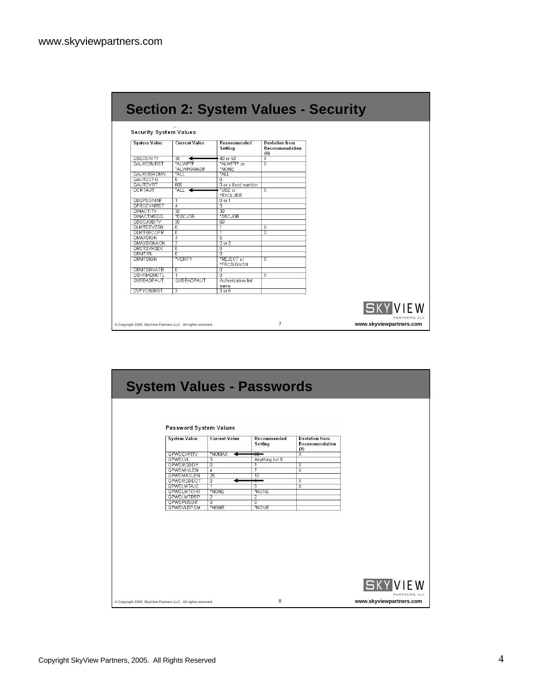|  |  | <b>Section 2: System Values - Security</b> |
|--|--|--------------------------------------------|
|  |  |                                            |

## Security System Values

|                   | <b>Current Value</b>    | Recommended<br>Setting     | <b>Deviation from</b><br>Recommendation<br>(X) |
|-------------------|-------------------------|----------------------------|------------------------------------------------|
| <b>QSECURITY</b>  | 30                      | 40 or 50                   | $\overline{\mathsf{x}}$                        |
| QALWOBJRST        | *ALWPTF                 | *ALWPTF or                 | $\overline{\mathsf{x}}$                        |
|                   | *ALWPGMADP              | *NONE                      |                                                |
| QALWUSRDMN        | *ALL                    | *ALL                       |                                                |
| QAUTOCFG          | $\overline{\mathbf{0}}$ | n                          |                                                |
| QAUTOVRT          | 600                     | O or a fixed number        |                                                |
| <b>QCRTAUT</b>    | $*$ ALL $\rightarrow$   | *USE or                    | X                                              |
|                   |                         | *EXCLUDE                   |                                                |
| QDSPSGNINF        | Ζ                       | $0$ or $1$                 |                                                |
| <b>OFRCCVNRST</b> | $\overline{4}$          | з                          |                                                |
| <b>QINACTITY</b>  | 30                      | 30                         |                                                |
| <b>GINACTMSGO</b> | *DSCJOB                 | *DSCJOB                    |                                                |
| <b>QDSCJOBITV</b> | $\overline{30}$         | 60                         |                                                |
| <b>QLMTDEVSSN</b> | $\overline{\mathbf{0}}$ |                            | $\overline{\mathsf{x}}$                        |
| <b>QLMTSECOFR</b> | π                       |                            | $\overline{\mathsf{x}}$                        |
| QMAXSIGN          | $\overline{4}$          | 5                          |                                                |
| <b>QMAXSGNACN</b> | $\overline{2}$          | $2$ or $3$                 |                                                |
| <b>QRETSVRSEC</b> | $\overline{\mathbb{0}}$ | 0                          |                                                |
| <b>QRMTIPL</b>    | $\overline{\mathbb{0}}$ | $\overline{0}$             |                                                |
| <b>QRMTSIGN</b>   | *VERIFY                 | *REJECT or<br>*FRCSIGNON   | $_{\rm X}$                                     |
| <b>GRMTSRVATR</b> | ᠊ᢐ                      | Ō                          |                                                |
| <b>QSHRMEMCTL</b> | -1                      | n                          | X                                              |
| QUSEADPAUT        | QUSEADPAUT              | Authorization list<br>name |                                                |
|                   | 3                       | $3$ or $5$                 |                                                |

| Password System Values                                                                                           |               |
|------------------------------------------------------------------------------------------------------------------|---------------|
| <b>System Value</b><br><b>Current Value</b><br>Recommended<br><b>Deviation from</b><br>Recommendation<br>Setting |               |
| (X)<br><b>QPWDEXPITV</b><br>*NOMAX<br>Ⴟ<br>╼                                                                     |               |
| <b>QPWDLVL</b><br>з<br>Anything but 0                                                                            |               |
| <b>QPWDRQDDIF</b><br>$\overline{\mathbf{0}}$<br>$_{\rm x}$                                                       |               |
| $\overline{\mathsf{x}}$<br><b><i>GPWDMINLEN</i></b><br>$\overline{4}$<br>7                                       |               |
| $\overline{25}$<br><b><i>GPWDMAXLEN</i></b><br>$\overline{10}$                                                   |               |
| <b>GPWDRQDDGT</b><br>$_{\overline{\mathsf{x}}}$<br>σ                                                             |               |
| <b>QPWDLMTAJC</b><br>$\overline{\mathsf{x}}$<br>$\overline{\mathfrak{o}}$<br>$\overline{1}$                      |               |
| <b>QPWDLMTCHR</b><br>*NONE<br>*NONE                                                                              |               |
| <b>QPWDLMTREP</b><br>2<br>2                                                                                      |               |
| <b>QPWDPOSDIF</b><br>╖<br>π<br><b>QPWDVLDPGM</b><br>*NONE<br>*NONE                                               |               |
|                                                                                                                  |               |
|                                                                                                                  |               |
| <b>SKYVIEW</b><br>8<br>www.skyviewpartners.com<br>Copyright 2005 SkyView Partners LLC. All rights reserved.      | PARTNERS, LLC |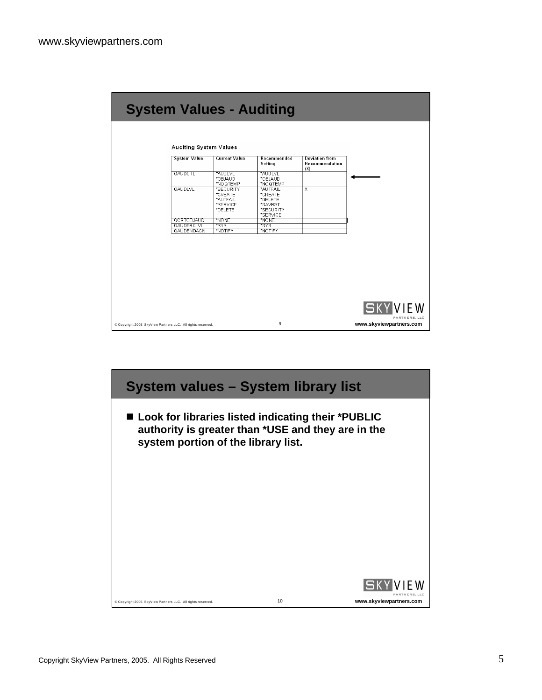| <b>System Value</b> | <b>Current Value</b>             | Recommended<br>Setting           | <b>Deviation from</b><br>Recommendation |                                                   |
|---------------------|----------------------------------|----------------------------------|-----------------------------------------|---------------------------------------------------|
| QAUDCTL             | *AUDLVL<br>*OBJAUD               | *AUDLVL<br>*OBJAUD               | (X)                                     |                                                   |
|                     | *NOQTEMP                         | *NOQTEMP                         |                                         |                                                   |
| <b>GAUDLVL</b>      | *SECURITY<br>*CREATE<br>*AUTFAIL | *AUTFAIL<br>*CREATE<br>*DELETE   | $\overline{\mathsf{x}}$                 |                                                   |
|                     | *SERVICE<br>*DELETE              | *SAVRST<br>*SECURITY<br>*SERVICE |                                         |                                                   |
| <b>QCRTOBJAUD</b>   | *NONE                            | *NONE                            |                                         |                                                   |
| QAUDERCLVL          | *SYS                             | *SYS"                            |                                         |                                                   |
| QAUDENDACN          | *NOTIFY                          | *NOTIFY                          |                                         |                                                   |
|                     |                                  |                                  |                                         |                                                   |
|                     |                                  |                                  |                                         | <b>VIEW</b>                                       |
|                     |                                  |                                  |                                         |                                                   |
|                     |                                  | 9                                |                                         | $S$ K<br>PARTNERS, LLC<br>www.skyviewpartners.com |

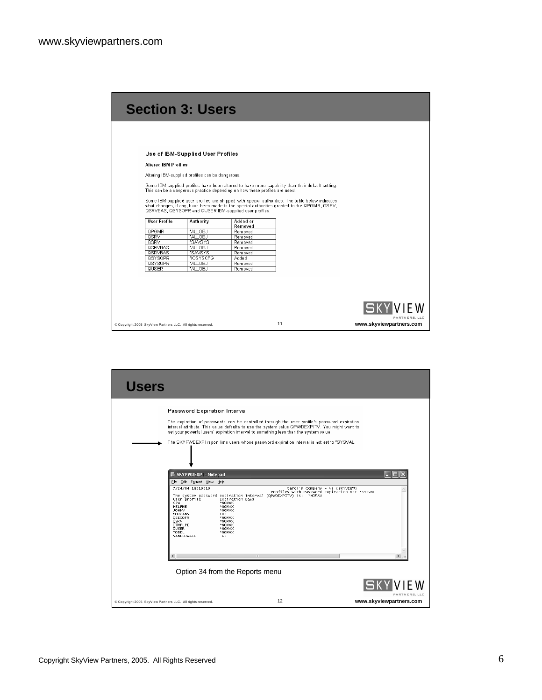|                                                                                                             | <b>Section 3: Users</b>                                                                                                                                                                                                                                                                        |                                                                 |                                                                                                                                                                                                                                                                                                    |                                          |
|-------------------------------------------------------------------------------------------------------------|------------------------------------------------------------------------------------------------------------------------------------------------------------------------------------------------------------------------------------------------------------------------------------------------|-----------------------------------------------------------------|----------------------------------------------------------------------------------------------------------------------------------------------------------------------------------------------------------------------------------------------------------------------------------------------------|------------------------------------------|
| <b>Altered IBM Profiles</b><br><b>User Profile</b><br>QPGMR<br><b>QSRV</b><br><b>OSRV</b><br><b>OSRVRAS</b> | Use of IBM-Supplied User Profiles<br>Altering IBM-supplied profiles can be dangerous.<br>This can be a dangerous practice depending on how these profiles are used.<br>QSRVBAS, QSYSOPR and QUSER IBM-supplied user profiles.<br><b>Authority</b><br>*ALLOBJ<br>*ALLOBJ<br>*SAVSYS<br>*ALLOR.L | Added or<br>Removed<br>Removed<br>Removed<br>Removed<br>Removed | Some IBM-supplied profiles have been altered to have more capability than their default setting.<br>Some IBM-supplied user profiles are shipped with special authorities. The table below indicates<br>what changes, if any, have been made to the special authorities granted to the QPGMR, QSRV, |                                          |
| <b>QSRVBAS</b><br><b>QSYSOPR</b><br><b>QSYSOPR</b><br>QUSER                                                 | *SAVSYS<br>*IOSYSCFG<br>*ALLOBJ<br>*ALLOBJ                                                                                                                                                                                                                                                     | Removed<br><b>Added</b><br>Removed<br>Removed                   |                                                                                                                                                                                                                                                                                                    | <b>ISKYVIEW</b>                          |
| Copyright 2005 SkyView Partners LLC. All rights reserved.                                                   |                                                                                                                                                                                                                                                                                                |                                                                 | 11                                                                                                                                                                                                                                                                                                 | PARTNERS, LLC<br>www.skyviewpartners.com |

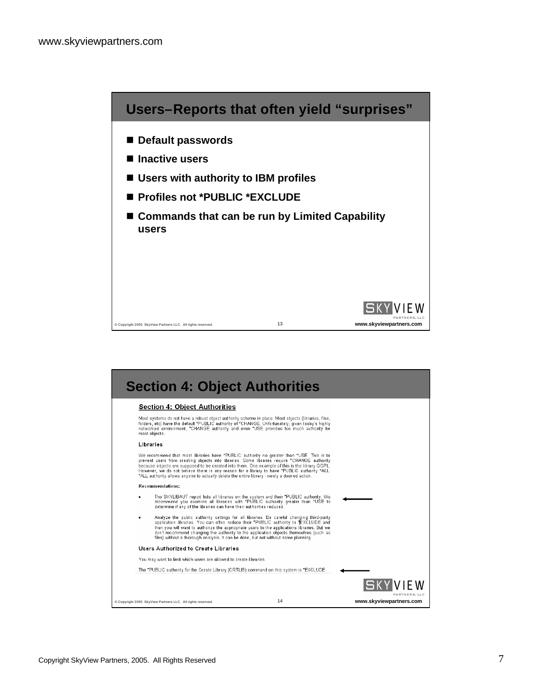

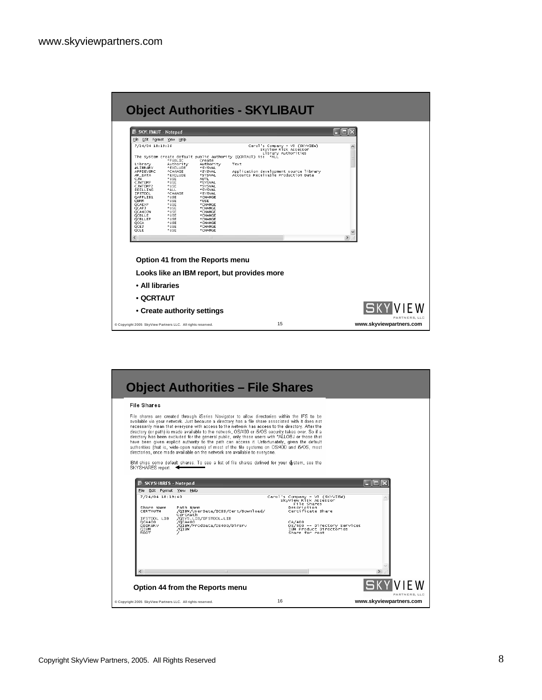|                                                                                                                                                         |                                                                                                                         |                                                                                                                                                             | <b>Object Authorities - SKYLIBAUT</b>                                                                                                                                                                                                    |                         |
|---------------------------------------------------------------------------------------------------------------------------------------------------------|-------------------------------------------------------------------------------------------------------------------------|-------------------------------------------------------------------------------------------------------------------------------------------------------------|------------------------------------------------------------------------------------------------------------------------------------------------------------------------------------------------------------------------------------------|-------------------------|
| <b>SKYLIBAUT - Notepad</b>                                                                                                                              |                                                                                                                         |                                                                                                                                                             |                                                                                                                                                                                                                                          |                         |
| File Edit Format View Help                                                                                                                              |                                                                                                                         |                                                                                                                                                             |                                                                                                                                                                                                                                          |                         |
| 7/24/04 18:19:26<br>Library<br>#LIBRARY<br>APPDEVSRC<br>AR_DATA                                                                                         | *PUBLIC<br>Authority<br>*EXCLUDE<br>*CHANGE<br>*EXCLUDE                                                                 | Create<br>Authority<br>*SYSVAL<br>*SYSVAL<br>*SYSVAL                                                                                                        | Carol's Company - V3 (SKYVIEW)<br>SkyView Risk Assessor<br>Library Authorities<br>The system create default public authority (QCRTAUT) is: *ALL<br>Text<br>Application development source library<br>Accounts Receivable Production Data | ۸                       |
| CJW<br>CJWTEMP<br>CJWTEMP2<br>DDILLING<br><b>IFSTOOL</b><br>OAFPLIB1<br>QBRM<br>QCAEXP<br>OCAP3<br>QCA400W<br>QCBLLE<br>QCBLLEP<br>QCCA<br>QCE3<br>OCLE | *USE<br>*USE<br>*USE<br>*ALL<br>*CHANGE<br>*USE<br>*USE<br>*USE<br>*USE<br>*USE<br>*USE<br>*USE<br>*USE<br>*USE<br>*USE | AUTL<br>*SYSVAL<br>*SYSVAL<br>*SYSVAL<br>*SYSVAL<br>*CHANGE<br>*USE<br>*CHANGE<br>*CHANGE<br>*CHANGE<br>*CHANGE<br>*CHANGE<br>*CHANGE<br>*CHANGE<br>*CHANGE |                                                                                                                                                                                                                                          |                         |
|                                                                                                                                                         |                                                                                                                         |                                                                                                                                                             |                                                                                                                                                                                                                                          | $\rightarrow$           |
|                                                                                                                                                         | Option 41 from the Reports menu                                                                                         |                                                                                                                                                             | Looks like an IBM report, but provides more                                                                                                                                                                                              |                         |
| • All libraries                                                                                                                                         |                                                                                                                         |                                                                                                                                                             |                                                                                                                                                                                                                                          |                         |
| $\bullet$ OCRTAUT                                                                                                                                       |                                                                                                                         |                                                                                                                                                             |                                                                                                                                                                                                                                          |                         |
|                                                                                                                                                         | • Create authority settings                                                                                             |                                                                                                                                                             |                                                                                                                                                                                                                                          | PARTNERS, LLC           |
| Copyright 2005 SkyView Partners LLC. All rights reserved.                                                                                               |                                                                                                                         |                                                                                                                                                             | 15                                                                                                                                                                                                                                       | www.skyviewpartners.com |

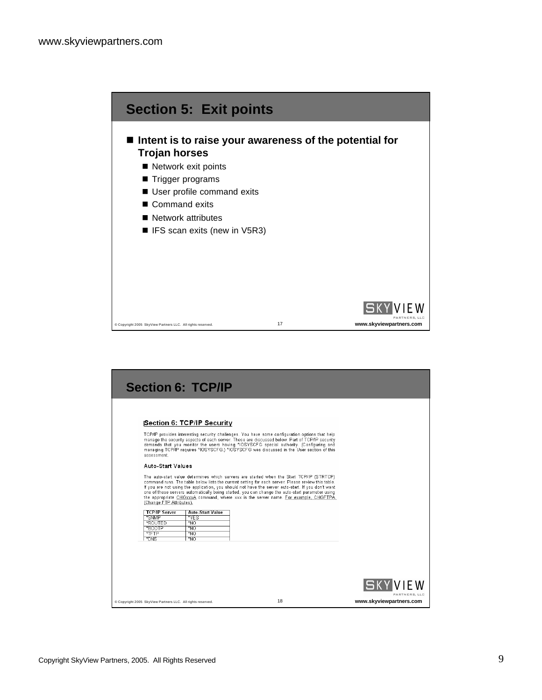

|                                                           | <b>Section 6: TCP/IP</b>   |                                                                                                                                                                                                                                                                                                                                                                                                                                                                                                 |                         |
|-----------------------------------------------------------|----------------------------|-------------------------------------------------------------------------------------------------------------------------------------------------------------------------------------------------------------------------------------------------------------------------------------------------------------------------------------------------------------------------------------------------------------------------------------------------------------------------------------------------|-------------------------|
|                                                           |                            |                                                                                                                                                                                                                                                                                                                                                                                                                                                                                                 |                         |
|                                                           | Section 6: TCP/IP Security |                                                                                                                                                                                                                                                                                                                                                                                                                                                                                                 |                         |
|                                                           |                            |                                                                                                                                                                                                                                                                                                                                                                                                                                                                                                 |                         |
| assessment.                                               |                            | TCP/IP provides interesting security challenges. You have some configuration options that help<br>manage the security aspects of each server. These are discussed below. Part of TCP/IP security<br>demands that you monitor the users having *IOSYSCFG special authority. (Configuring and<br>managing TCP/IP requires *IOSYSCFG.) *IOSYSCFG was discussed in the User section of this                                                                                                         |                         |
| <b>Auto-Start Values</b>                                  |                            |                                                                                                                                                                                                                                                                                                                                                                                                                                                                                                 |                         |
| (Change FTP Attributes).                                  |                            | The auto-start value determines which servers are started when the Start TCP/IP (STRTCP)<br>command runs. The table below lists the current setting for each server. Please review this table.<br>If you are not using the application, you should not have the server auto-start. If you don't want<br>one of these servers automatically being started, you can change the auto-start parameter using<br>the appropriate CHGxxxA command, where xxx is the server name. For example, CHGFTPA, |                         |
| <b>TCP/IP Server</b>                                      | <b>Auto-Start Value</b>    |                                                                                                                                                                                                                                                                                                                                                                                                                                                                                                 |                         |
| *SNMP                                                     | *YES                       |                                                                                                                                                                                                                                                                                                                                                                                                                                                                                                 |                         |
| *ROUTED                                                   | $\overline{N}$             |                                                                                                                                                                                                                                                                                                                                                                                                                                                                                                 |                         |
| *BOOTP<br>$*$ FTP                                         | *NO                        |                                                                                                                                                                                                                                                                                                                                                                                                                                                                                                 |                         |
| *DNS                                                      | *NO<br>*NO                 |                                                                                                                                                                                                                                                                                                                                                                                                                                                                                                 |                         |
|                                                           |                            |                                                                                                                                                                                                                                                                                                                                                                                                                                                                                                 |                         |
|                                                           |                            |                                                                                                                                                                                                                                                                                                                                                                                                                                                                                                 |                         |
|                                                           |                            |                                                                                                                                                                                                                                                                                                                                                                                                                                                                                                 |                         |
|                                                           |                            |                                                                                                                                                                                                                                                                                                                                                                                                                                                                                                 |                         |
|                                                           |                            |                                                                                                                                                                                                                                                                                                                                                                                                                                                                                                 | ISKYI                   |
|                                                           |                            | 18                                                                                                                                                                                                                                                                                                                                                                                                                                                                                              | PARTNERS, LLC           |
| Copyright 2005 SkyView Partners LLC. All rights reserved. |                            |                                                                                                                                                                                                                                                                                                                                                                                                                                                                                                 | www.skyviewpartners.com |